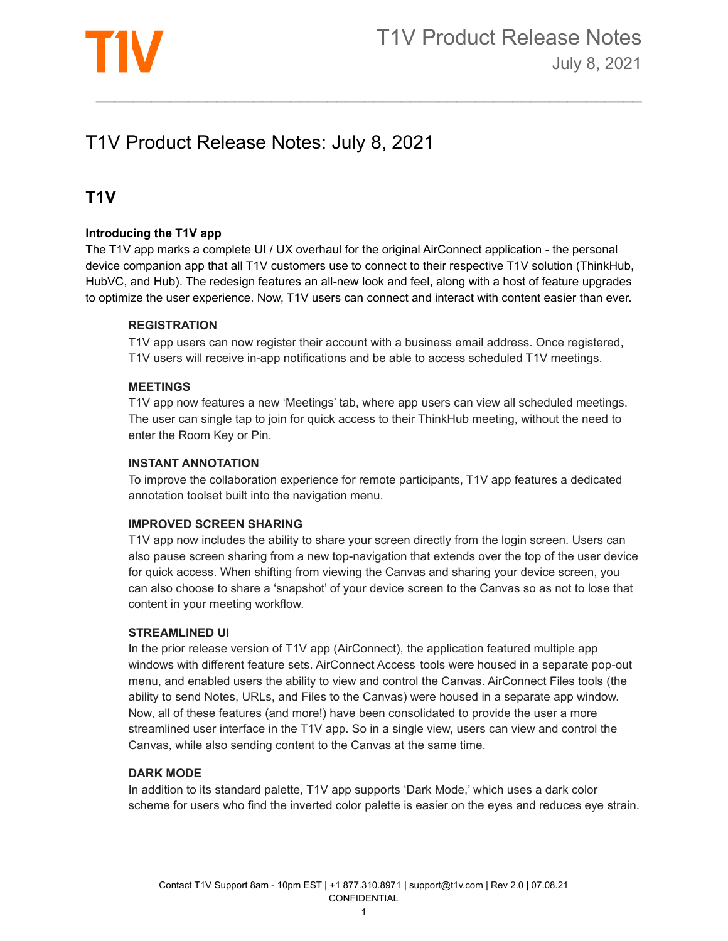

# T1V Product Release Notes: July 8, 2021

# **T1V**

## **Introducing the T1V app**

The T1V app marks a complete UI / UX overhaul for the original AirConnect application - the personal device companion app that all T1V customers use to connect to their respective T1V solution (ThinkHub, HubVC, and Hub). The redesign features an all-new look and feel, along with a host of feature upgrades to optimize the user experience. Now, T1V users can connect and interact with content easier than ever.

 $\mathcal{L}_\text{max}$  , and the contribution of the contribution of the contribution of the contribution of the contribution of the contribution of the contribution of the contribution of the contribution of the contribution of t

#### **REGISTRATION**

T1V app users can now register their account with a business email address. Once registered, T1V users will receive in-app notifications and be able to access scheduled T1V meetings.

#### **MEETINGS**

T1V app now features a new 'Meetings' tab, where app users can view all scheduled meetings. The user can single tap to join for quick access to their ThinkHub meeting, without the need to enter the Room Key or Pin.

#### **INSTANT ANNOTATION**

To improve the collaboration experience for remote participants, T1V app features a dedicated annotation toolset built into the navigation menu.

#### **IMPROVED SCREEN SHARING**

T1V app now includes the ability to share your screen directly from the login screen. Users can also pause screen sharing from a new top-navigation that extends over the top of the user device for quick access. When shifting from viewing the Canvas and sharing your device screen, you can also choose to share a 'snapshot' of your device screen to the Canvas so as not to lose that content in your meeting workflow.

#### **STREAMLINED UI**

In the prior release version of T1V app (AirConnect), the application featured multiple app windows with different feature sets. AirConnect Access tools were housed in a separate pop-out menu, and enabled users the ability to view and control the Canvas. AirConnect Files tools (the ability to send Notes, URLs, and Files to the Canvas) were housed in a separate app window. Now, all of these features (and more!) have been consolidated to provide the user a more streamlined user interface in the T1V app. So in a single view, users can view and control the Canvas, while also sending content to the Canvas at the same time.

#### **DARK MODE**

In addition to its standard palette, T1V app supports 'Dark Mode,' which uses a dark color scheme for users who find the inverted color palette is easier on the eyes and reduces eye strain.